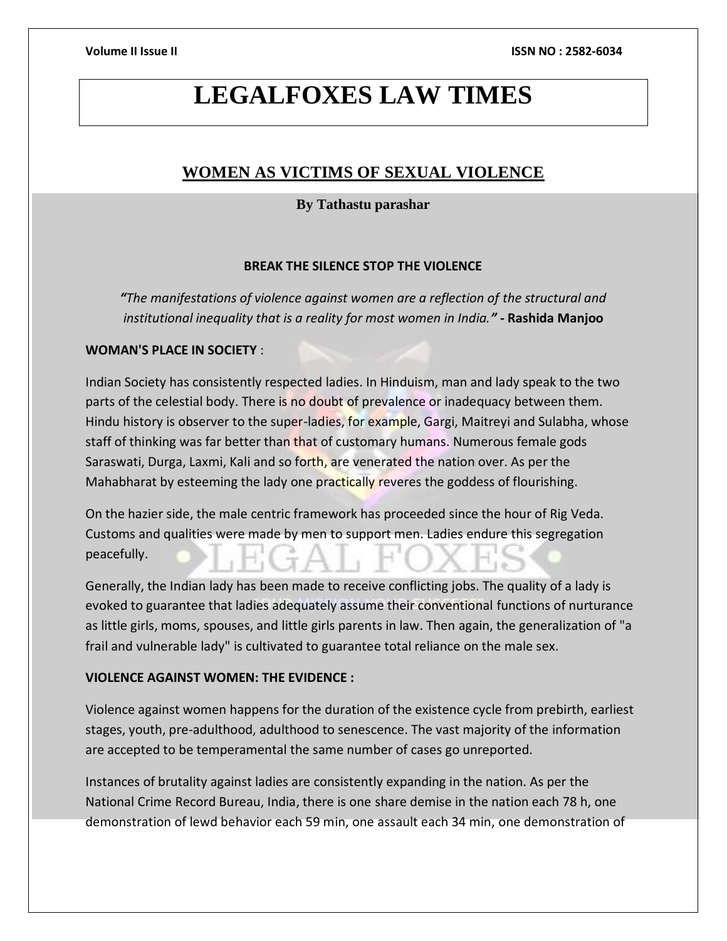# **LEGALFOXES LAW TIMES**

# **WOMEN AS VICTIMS OF SEXUAL VIOLENCE**

# **By Tathastu parashar**

# **BREAK THE SILENCE STOP THE VIOLENCE**

*"The manifestations of violence against women are a reflection of the structural and institutional inequality that is a reality for most women in India."* **- Rashida Manjoo**

# **WOMAN'S PLACE IN SOCIETY** :

Indian Society has consistently respected ladies. In Hinduism, man and lady speak to the two parts of the celestial body. There is no doubt of prevalence or inadequacy between them. Hindu history is observer to the super-ladies, for example, Gargi, Maitreyi and Sulabha, whose staff of thinking was far better than that of customary humans. Numerous female gods Saraswati, Durga, Laxmi, Kali and so forth, are venerated the nation over. As per the Mahabharat by esteeming the lady one practically reveres the goddess of flourishing.

On the hazier side, the male centric framework has proceeded since the hour of Rig Veda. Customs and qualities were made by men to support men. Ladies endure this segregation peacefully.

Generally, the Indian lady has been made to receive conflicting jobs. The quality of a lady is evoked to guarantee that ladies adequately assume their conventional functions of nurturance as little girls, moms, spouses, and little girls parents in law. Then again, the generalization of "a frail and vulnerable lady" is cultivated to guarantee total reliance on the male sex.

### **VIOLENCE AGAINST WOMEN: THE EVIDENCE :**

Violence against women happens for the duration of the existence cycle from prebirth, earliest stages, youth, pre-adulthood, adulthood to senescence. The vast majority of the information are accepted to be temperamental the same number of cases go unreported.

Instances of brutality against ladies are consistently expanding in the nation. As per the National Crime Record Bureau, India, there is one share demise in the nation each 78 h, one demonstration of lewd behavior each 59 min, one assault each 34 min, one demonstration of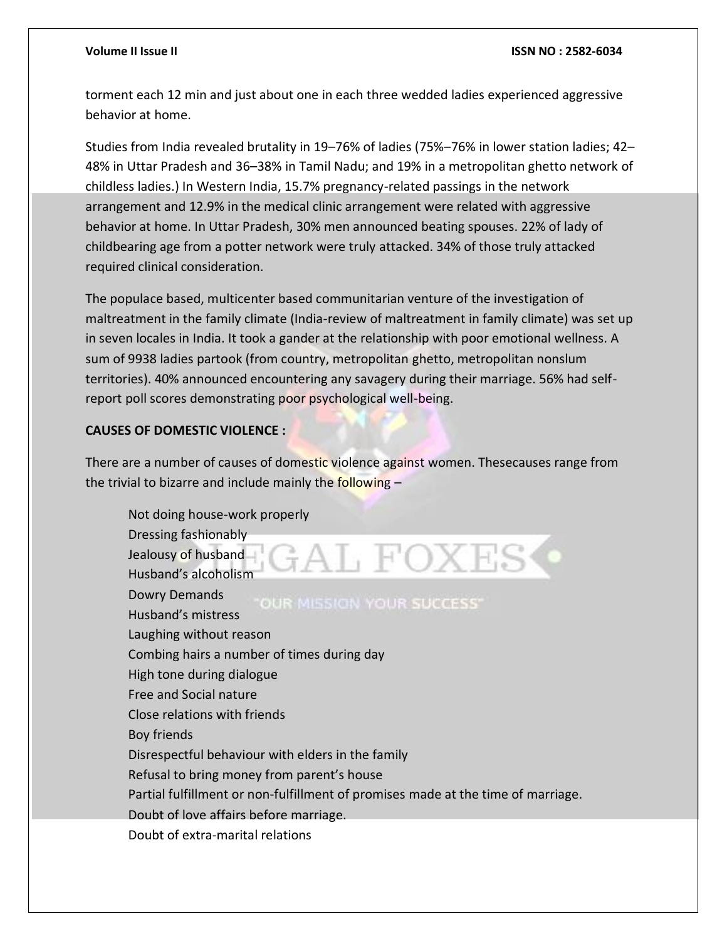torment each 12 min and just about one in each three wedded ladies experienced aggressive behavior at home.

Studies from India revealed brutality in 19–76% of ladies (75%–76% in lower station ladies; 42– 48% in Uttar Pradesh and 36–38% in Tamil Nadu; and 19% in a metropolitan ghetto network of childless ladies.) In Western India, 15.7% pregnancy-related passings in the network arrangement and 12.9% in the medical clinic arrangement were related with aggressive behavior at home. In Uttar Pradesh, 30% men announced beating spouses. 22% of lady of childbearing age from a potter network were truly attacked. 34% of those truly attacked required clinical consideration.

The populace based, multicenter based communitarian venture of the investigation of maltreatment in the family climate (India-review of maltreatment in family climate) was set up in seven locales in India. It took a gander at the relationship with poor emotional wellness. A sum of 9938 ladies partook (from country, metropolitan ghetto, metropolitan nonslum territories). 40% announced encountering any savagery during their marriage. 56% had selfreport poll scores demonstrating poor psychological well-being.

# **CAUSES OF DOMESTIC VIOLENCE :**

There are a number of causes of domestic violence against women. Thesecauses range from the trivial to bizarre and include mainly the following -

Not doing house-work properly Dressing fashionably GAL FOXES Jealousy of husband Husband's alcoholism Dowry Demands OUR MISSION YOUR SUCCESS" Husband's mistress Laughing without reason Combing hairs a number of times during day High tone during dialogue Free and Social nature Close relations with friends Boy friends Disrespectful behaviour with elders in the family Refusal to bring money from parent's house Partial fulfillment or non-fulfillment of promises made at the time of marriage. Doubt of love affairs before marriage. Doubt of extra-marital relations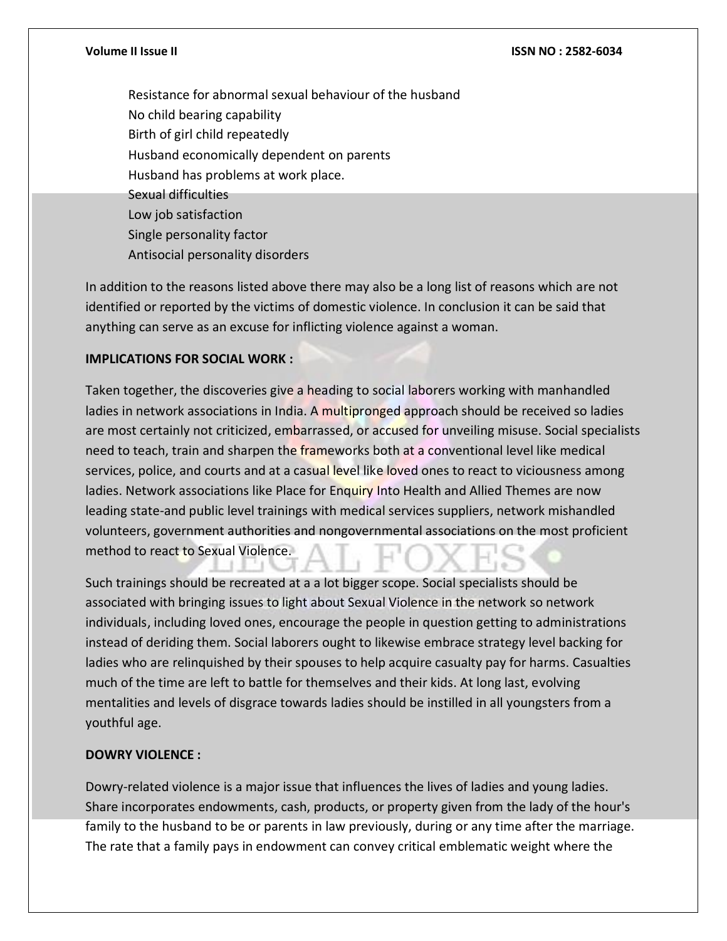Resistance for abnormal sexual behaviour of the husband No child bearing capability Birth of girl child repeatedly Husband economically dependent on parents Husband has problems at work place. Sexual difficulties Low job satisfaction Single personality factor Antisocial personality disorders

In addition to the reasons listed above there may also be a long list of reasons which are not identified or reported by the victims of domestic violence. In conclusion it can be said that anything can serve as an excuse for inflicting violence against a woman.

# **IMPLICATIONS FOR SOCIAL WORK :**

Taken together, the discoveries give a heading to social laborers working with manhandled ladies in network associations in India. A multipronged approach should be received so ladies are most certainly not criticized, embarrassed, or accused for unveiling misuse. Social specialists need to teach, train and sharpen the frameworks both at a conventional level like medical services, police, and courts and at a casual level like loved ones to react to viciousness among ladies. Network associations like Place for Enquiry Into Health and Allied Themes are now leading state-and public level trainings with medical services suppliers, network mishandled volunteers, government authorities and nongovernmental associations on the most proficient method to react to Sexual Violence.

Such trainings should be recreated at a a lot bigger scope. Social specialists should be associated with bringing issues to light about Sexual Violence in the network so network individuals, including loved ones, encourage the people in question getting to administrations instead of deriding them. Social laborers ought to likewise embrace strategy level backing for ladies who are relinquished by their spouses to help acquire casualty pay for harms. Casualties much of the time are left to battle for themselves and their kids. At long last, evolving mentalities and levels of disgrace towards ladies should be instilled in all youngsters from a youthful age.

### **DOWRY VIOLENCE :**

Dowry-related violence is a major issue that influences the lives of ladies and young ladies. Share incorporates endowments, cash, products, or property given from the lady of the hour's family to the husband to be or parents in law previously, during or any time after the marriage. The rate that a family pays in endowment can convey critical emblematic weight where the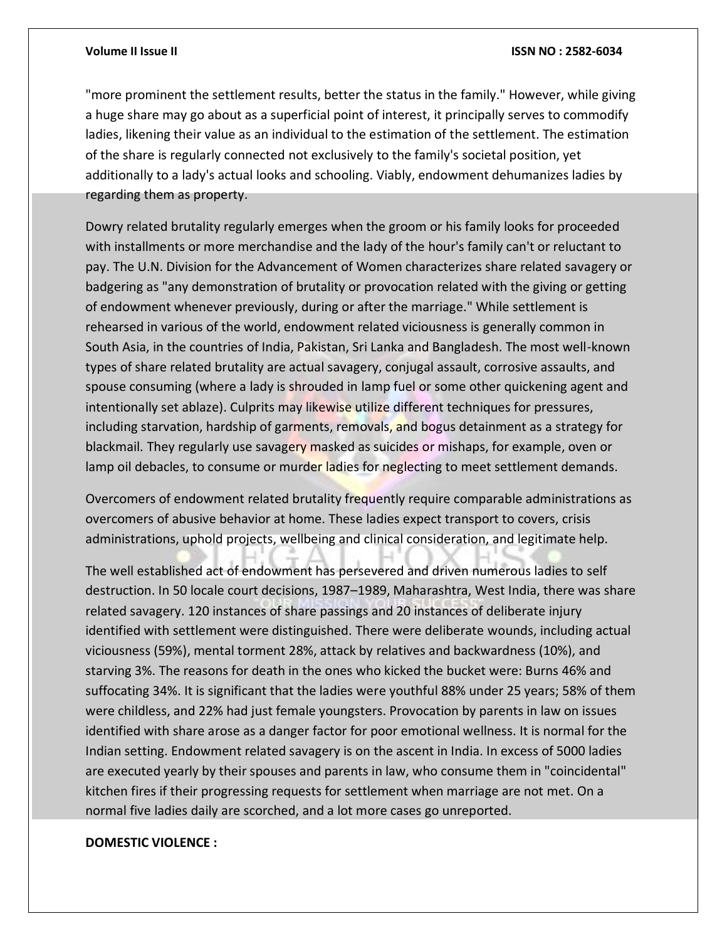"more prominent the settlement results, better the status in the family." However, while giving a huge share may go about as a superficial point of interest, it principally serves to commodify ladies, likening their value as an individual to the estimation of the settlement. The estimation of the share is regularly connected not exclusively to the family's societal position, yet additionally to a lady's actual looks and schooling. Viably, endowment dehumanizes ladies by regarding them as property.

Dowry related brutality regularly emerges when the groom or his family looks for proceeded with installments or more merchandise and the lady of the hour's family can't or reluctant to pay. The U.N. Division for the Advancement of Women characterizes share related savagery or badgering as "any demonstration of brutality or provocation related with the giving or getting of endowment whenever previously, during or after the marriage." While settlement is rehearsed in various of the world, endowment related viciousness is generally common in South Asia, in the countries of India, Pakistan, Sri Lanka and Bangladesh. The most well-known types of share related brutality are actual savagery, conjugal assault, corrosive assaults, and spouse consuming (where a lady is shrouded in lamp fuel or some other quickening agent and intentionally set ablaze). Culprits may likewise utilize different techniques for pressures, including starvation, hardship of garments, removals, and bogus detainment as a strategy for blackmail. They regularly use savagery masked as suicides or mishaps, for example, oven or lamp oil debacles, to consume or murder ladies for neglecting to meet settlement demands.

Overcomers of endowment related brutality frequently require comparable administrations as overcomers of abusive behavior at home. These ladies expect transport to covers, crisis administrations, uphold projects, wellbeing and clinical consideration, and legitimate help.

The well established act of endowment has persevered and driven numerous ladies to self destruction. In 50 locale court decisions, 1987–1989, Maharashtra, West India, there was share related savagery. 120 instances of share passings and 20 instances of deliberate injury identified with settlement were distinguished. There were deliberate wounds, including actual viciousness (59%), mental torment 28%, attack by relatives and backwardness (10%), and starving 3%. The reasons for death in the ones who kicked the bucket were: Burns 46% and suffocating 34%. It is significant that the ladies were youthful 88% under 25 years; 58% of them were childless, and 22% had just female youngsters. Provocation by parents in law on issues identified with share arose as a danger factor for poor emotional wellness. It is normal for the Indian setting. Endowment related savagery is on the ascent in India. In excess of 5000 ladies are executed yearly by their spouses and parents in law, who consume them in "coincidental" kitchen fires if their progressing requests for settlement when marriage are not met. On a normal five ladies daily are scorched, and a lot more cases go unreported.

### **DOMESTIC VIOLENCE :**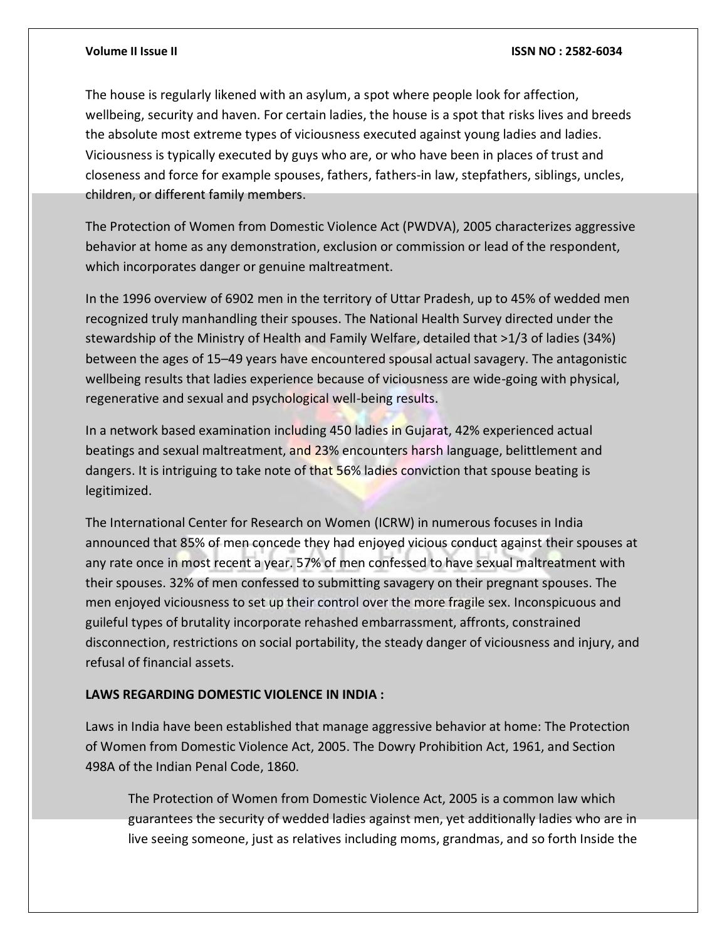The house is regularly likened with an asylum, a spot where people look for affection, wellbeing, security and haven. For certain ladies, the house is a spot that risks lives and breeds the absolute most extreme types of viciousness executed against young ladies and ladies. Viciousness is typically executed by guys who are, or who have been in places of trust and closeness and force for example spouses, fathers, fathers-in law, stepfathers, siblings, uncles, children, or different family members.

The Protection of Women from Domestic Violence Act (PWDVA), 2005 characterizes aggressive behavior at home as any demonstration, exclusion or commission or lead of the respondent, which incorporates danger or genuine maltreatment.

In the 1996 overview of 6902 men in the territory of Uttar Pradesh, up to 45% of wedded men recognized truly manhandling their spouses. The National Health Survey directed under the stewardship of the Ministry of Health and Family Welfare, detailed that >1/3 of ladies (34%) between the ages of 15–49 years have encountered spousal actual savagery. The antagonistic wellbeing results that ladies experience because of viciousness are wide-going with physical, regenerative and sexual and psychological well-being results.

In a network based examination including 450 ladies in Gujarat, 42% experienced actual beatings and sexual maltreatment, and 23% encounters harsh language, belittlement and dangers. It is intriguing to take note of that 56% ladies conviction that spouse beating is legitimized.

The International Center for Research on Women (ICRW) in numerous focuses in India announced that 85% of men concede they had enjoyed vicious conduct against their spouses at any rate once in most recent a year. 57% of men confessed to have sexual maltreatment with their spouses. 32% of men confessed to submitting savagery on their pregnant spouses. The men enjoyed viciousness to set up their control over the more fragile sex. Inconspicuous and guileful types of brutality incorporate rehashed embarrassment, affronts, constrained disconnection, restrictions on social portability, the steady danger of viciousness and injury, and refusal of financial assets.

# **LAWS REGARDING DOMESTIC VIOLENCE IN INDIA :**

Laws in India have been established that manage aggressive behavior at home: The Protection of Women from Domestic Violence Act, 2005. The Dowry Prohibition Act, 1961, and Section 498A of the Indian Penal Code, 1860.

The Protection of Women from Domestic Violence Act, 2005 is a common law which guarantees the security of wedded ladies against men, yet additionally ladies who are in live seeing someone, just as relatives including moms, grandmas, and so forth Inside the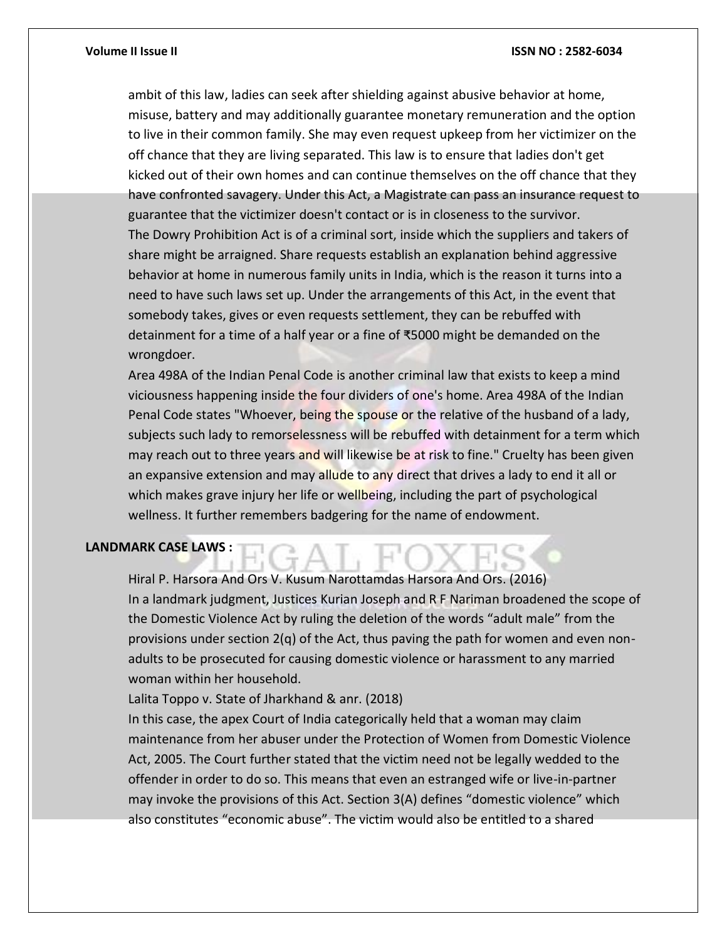ambit of this law, ladies can seek after shielding against abusive behavior at home, misuse, battery and may additionally guarantee monetary remuneration and the option to live in their common family. She may even request upkeep from her victimizer on the off chance that they are living separated. This law is to ensure that ladies don't get kicked out of their own homes and can continue themselves on the off chance that they have confronted savagery. Under this Act, a Magistrate can pass an insurance request to guarantee that the victimizer doesn't contact or is in closeness to the survivor. The Dowry Prohibition Act is of a criminal sort, inside which the suppliers and takers of share might be arraigned. Share requests establish an explanation behind aggressive behavior at home in numerous family units in India, which is the reason it turns into a need to have such laws set up. Under the arrangements of this Act, in the event that somebody takes, gives or even requests settlement, they can be rebuffed with detainment for a time of a half year or a fine of ₹5000 might be demanded on the wrongdoer.

Area 498A of the Indian Penal Code is another criminal law that exists to keep a mind viciousness happening inside the four dividers of one's home. Area 498A of the Indian Penal Code states "Whoever, being the spouse or the relative of the husband of a lady, subjects such lady to remorselessness will be rebuffed with detainment for a term which may reach out to three years and will likewise be at risk to fine." Cruelty has been given an expansive extension and may allude to any direct that drives a lady to end it all or which makes grave injury her life or wellbeing, including the part of psychological wellness. It further remembers badgering for the name of endowment.

### **LANDMARK CASE LAWS :**

Hiral P. Harsora And Ors V. Kusum Narottamdas Harsora And Ors. (2016) In a landmark judgment, Justices Kurian Joseph and R F Nariman broadened the scope of the Domestic Violence Act by ruling the deletion of the words "adult male" from the provisions under section  $2(q)$  of the Act, thus paving the path for women and even nonadults to be prosecuted for causing domestic violence or harassment to any married woman within her household.

Lalita Toppo v. State of Jharkhand & anr. (2018)

In this case, the apex Court of India categorically held that a woman may claim maintenance from her abuser under the Protection of Women from Domestic Violence Act, 2005. The Court further stated that the victim need not be legally wedded to the offender in order to do so. This means that even an estranged wife or live-in-partner may invoke the provisions of this Act. Section 3(A) defines "domestic violence" which also constitutes "economic abuse". The victim would also be entitled to a shared